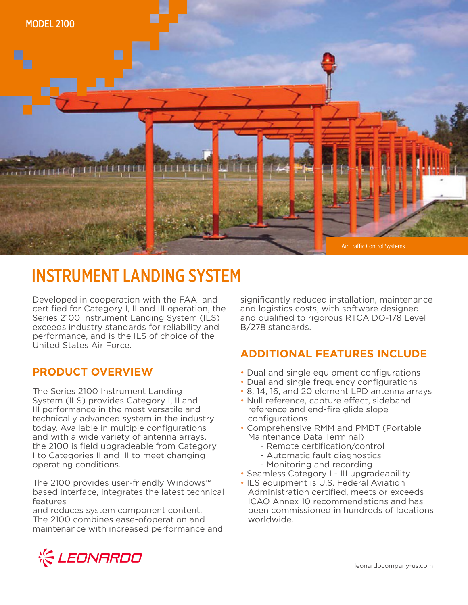

# INSTRUMENT LANDING SYSTEM

Developed in cooperation with the FAA and certified for Category I, II and III operation, the Series 2100 Instrument Landing System (ILS) exceeds industry standards for reliability and performance, and is the ILS of choice of the United States Air Force.

### **PRODUCT OVERVIEW**

The Series 2100 Instrument Landing System (ILS) provides Category I, II and III performance in the most versatile and technically advanced system in the industry today. Available in multiple configurations and with a wide variety of antenna arrays, the 2100 is field upgradeable from Category I to Categories II and III to meet changing operating conditions.

The 2100 provides user-friendly Windows™ based interface, integrates the latest technical features

and reduces system component content. The 2100 combines ease-ofoperation and maintenance with increased performance and significantly reduced installation, maintenance and logistics costs, with software designed and qualified to rigorous RTCA DO-178 Level B/278 standards.

# **ADDITIONAL FEATURES INCLUDE**

- Dual and single equipment configurations
- Dual and single frequency configurations
- 8, 14, 16, and 20 element LPD antenna arrays
- Null reference, capture effect, sideband reference and end-fire glide slope configurations
- Comprehensive RMM and PMDT (Portable Maintenance Data Terminal)
	- Remote certification/control
	- Automatic fault diagnostics
	- Monitoring and recording
- Seamless Category I III upgradeability
- ILS equipment is U.S. Federal Aviation Administration certified, meets or exceeds ICAO Annex 10 recommendations and has been commissioned in hundreds of locations worldwide.